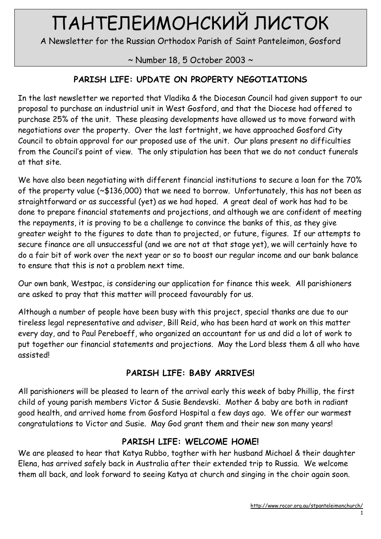# ПАНТЕЛЕИМОНСКИЙ ЛИСТОК

A Newsletter for the Russian Orthodox Parish of Saint Panteleimon, Gosford

~ Number 18, 5 October 2003 ~

# PARISH LIFE: UPDATE ON PROPERTY NEGOTIATIONS

In the last newsletter we reported that Vladika & the Diocesan Council had given support to our proposal to purchase an industrial unit in West Gosford, and that the Diocese had offered to purchase 25% of the unit. These pleasing developments have allowed us to move forward with negotiations over the property. Over the last fortnight, we have approached Gosford City Council to obtain approval for our proposed use of the unit. Our plans present no difficulties from the Council's point of view. The only stipulation has been that we do not conduct funerals at that site.

We have also been negotiating with different financial institutions to secure a loan for the 70% of the property value (~\$136,000) that we need to borrow. Unfortunately, this has not been as straightforward or as successful (yet) as we had hoped. A great deal of work has had to be done to prepare financial statements and projections, and although we are confident of meeting the repayments, it is proving to be a challenge to convince the banks of this, as they give greater weight to the figures to date than to projected, or future, figures. If our attempts to secure finance are all unsuccessful (and we are not at that stage yet), we will certainly have to do a fair bit of work over the next year or so to boost our regular income and our bank balance to ensure that this is not a problem next time.

Our own bank, Westpac, is considering our application for finance this week. All parishioners are asked to pray that this matter will proceed favourably for us.

Although a number of people have been busy with this project, special thanks are due to our tireless legal representative and adviser, Bill Reid, who has been hard at work on this matter every day, and to Paul Pereboeff, who organized an accountant for us and did a lot of work to put together our financial statements and projections. May the Lord bless them & all who have assisted!

# PARISH LIFE: BABY ARRIVES!

All parishioners will be pleased to learn of the arrival early this week of baby Phillip, the first child of young parish members Victor & Susie Bendevski. Mother & baby are both in radiant good health, and arrived home from Gosford Hospital a few days ago. We offer our warmest congratulations to Victor and Susie. May God grant them and their new son many years!

# PARISH LIFE: WELCOME HOME!

We are pleased to hear that Katya Rubbo, togther with her husband Michael & their daughter Elena, has arrived safely back in Australia after their extended trip to Russia. We welcome them all back, and look forward to seeing Katya at church and singing in the choir again soon.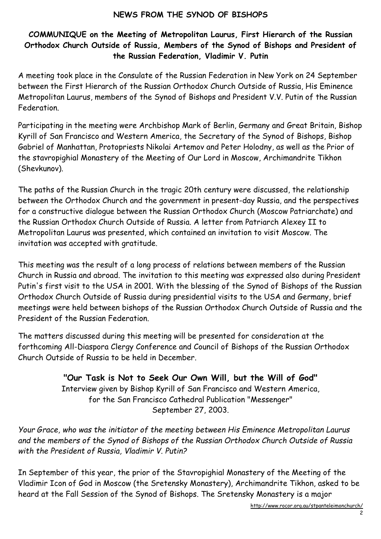#### NEWS FROM THE SYNOD OF BISHOPS

#### COMMUNIQUE on the Meeting of Metropolitan Laurus, First Hierarch of the Russian Orthodox Church Outside of Russia, Members of the Synod of Bishops and President of the Russian Federation, Vladimir V. Putin

A meeting took place in the Consulate of the Russian Federation in New York on 24 September between the First Hierarch of the Russian Orthodox Church Outside of Russia, His Eminence Metropolitan Laurus, members of the Synod of Bishops and President V.V. Putin of the Russian Federation.

Participating in the meeting were Archbishop Mark of Berlin, Germany and Great Britain, Bishop Kyrill of San Francisco and Western America, the Secretary of the Synod of Bishops, Bishop Gabriel of Manhattan, Protopriests Nikolai Artemov and Peter Holodny, as well as the Prior of the stavropighial Monastery of the Meeting of Our Lord in Moscow, Archimandrite Tikhon (Shevkunov).

The paths of the Russian Church in the tragic 20th century were discussed, the relationship between the Orthodox Church and the government in present-day Russia, and the perspectives for a constructive dialogue between the Russian Orthodox Church (Moscow Patriarchate) and the Russian Orthodox Church Outside of Russia. A letter from Patriarch Alexey II to Metropolitan Laurus was presented, which contained an invitation to visit Moscow. The invitation was accepted with gratitude.

This meeting was the result of a long process of relations between members of the Russian Church in Russia and abroad. The invitation to this meeting was expressed also during President Putin's first visit to the USA in 2001. With the blessing of the Synod of Bishops of the Russian Orthodox Church Outside of Russia during presidential visits to the USA and Germany, brief meetings were held between bishops of the Russian Orthodox Church Outside of Russia and the President of the Russian Federation.

The matters discussed during this meeting will be presented for consideration at the forthcoming All-Diaspora Clergy Conference and Council of Bishops of the Russian Orthodox Church Outside of Russia to be held in December.

> "Our Task is Not to Seek Our Own Will, but the Will of God" Interview given by Bishop Kyrill of San Francisco and Western America, for the San Francisco Cathedral Publication "Messenger" September 27, 2003.

Your Grace, who was the initiator of the meeting between His Eminence Metropolitan Laurus and the members of the Synod of Bishops of the Russian Orthodox Church Outside of Russia with the President of Russia, Vladimir V. Putin?

In September of this year, the prior of the Stavropighial Monastery of the Meeting of the Vladimir Icon of God in Moscow (the Sretensky Monastery), Archimandrite Tikhon, asked to be heard at the Fall Session of the Synod of Bishops. The Sretensky Monastery is a major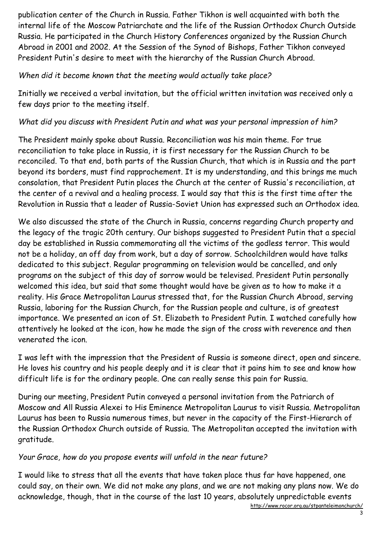publication center of the Church in Russia. Father Tikhon is well acquainted with both the internal life of the Moscow Patriarchate and the life of the Russian Orthodox Church Outside Russia. He participated in the Church History Conferences organized by the Russian Church Abroad in 2001 and 2002. At the Session of the Synod of Bishops, Father Tikhon conveyed President Putin's desire to meet with the hierarchy of the Russian Church Abroad.

## When did it become known that the meeting would actually take place?

Initially we received a verbal invitation, but the official written invitation was received only a few days prior to the meeting itself.

## What did you discuss with President Putin and what was your personal impression of him?

The President mainly spoke about Russia. Reconciliation was his main theme. For true reconciliation to take place in Russia, it is first necessary for the Russian Church to be reconciled. To that end, both parts of the Russian Church, that which is in Russia and the part beyond its borders, must find rapprochement. It is my understanding, and this brings me much consolation, that President Putin places the Church at the center of Russia's reconciliation, at the center of a revival and a healing process. I would say that this is the first time after the Revolution in Russia that a leader of Russia-Soviet Union has expressed such an Orthodox idea.

We also discussed the state of the Church in Russia, concerns regarding Church property and the legacy of the tragic 20th century. Our bishops suggested to President Putin that a special day be established in Russia commemorating all the victims of the godless terror. This would not be a holiday, an off day from work, but a day of sorrow. Schoolchildren would have talks dedicated to this subject. Regular programming on television would be cancelled, and only programs on the subject of this day of sorrow would be televised. President Putin personally welcomed this idea, but said that some thought would have be given as to how to make it a reality. His Grace Metropolitan Laurus stressed that, for the Russian Church Abroad, serving Russia, laboring for the Russian Church, for the Russian people and culture, is of greatest importance. We presented an icon of St. Elizabeth to President Putin. I watched carefully how attentively he looked at the icon, how he made the sign of the cross with reverence and then venerated the icon.

I was left with the impression that the President of Russia is someone direct, open and sincere. He loves his country and his people deeply and it is clear that it pains him to see and know how difficult life is for the ordinary people. One can really sense this pain for Russia.

During our meeting, President Putin conveyed a personal invitation from the Patriarch of Moscow and All Russia Alexei to His Eminence Metropolitan Laurus to visit Russia. Metropolitan Laurus has been to Russia numerous times, but never in the capacity of the First-Hierarch of the Russian Orthodox Church outside of Russia. The Metropolitan accepted the invitation with gratitude.

## Your Grace, how do you propose events will unfold in the near future?

I would like to stress that all the events that have taken place thus far have happened, one could say, on their own. We did not make any plans, and we are not making any plans now. We do acknowledge, though, that in the course of the last 10 years, absolutely unpredictable events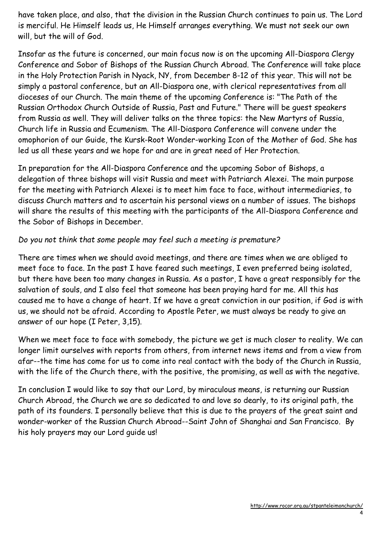have taken place, and also, that the division in the Russian Church continues to pain us. The Lord is merciful. He Himself leads us, He Himself arranges everything. We must not seek our own will, but the will of God.

Insofar as the future is concerned, our main focus now is on the upcoming All-Diaspora Clergy Conference and Sobor of Bishops of the Russian Church Abroad. The Conference will take place in the Holy Protection Parish in Nyack, NY, from December 8-12 of this year. This will not be simply a pastoral conference, but an All-Diaspora one, with clerical representatives from all dioceses of our Church. The main theme of the upcoming Conference is: "The Path of the Russian Orthodox Church Outside of Russia, Past and Future." There will be guest speakers from Russia as well. They will deliver talks on the three topics: the New Martyrs of Russia, Church life in Russia and Ecumenism. The All-Diaspora Conference will convene under the omophorion of our Guide, the Kursk-Root Wonder-working Icon of the Mother of God. She has led us all these years and we hope for and are in great need of Her Protection.

In preparation for the All-Diaspora Conference and the upcoming Sobor of Bishops, a delegation of three bishops will visit Russia and meet with Patriarch Alexei. The main purpose for the meeting with Patriarch Alexei is to meet him face to face, without intermediaries, to discuss Church matters and to ascertain his personal views on a number of issues. The bishops will share the results of this meeting with the participants of the All-Diaspora Conference and the Sobor of Bishops in December.

#### Do you not think that some people may feel such a meeting is premature?

There are times when we should avoid meetings, and there are times when we are obliged to meet face to face. In the past I have feared such meetings, I even preferred being isolated, but there have been too many changes in Russia. As a pastor, I have a great responsibly for the salvation of souls, and I also feel that someone has been praying hard for me. All this has caused me to have a change of heart. If we have a great conviction in our position, if God is with us, we should not be afraid. According to Apostle Peter, we must always be ready to give an answer of our hope (I Peter, 3,15).

When we meet face to face with somebody, the picture we get is much closer to reality. We can longer limit ourselves with reports from others, from internet news items and from a view from afar--the time has come for us to come into real contact with the body of the Church in Russia, with the life of the Church there, with the positive, the promising, as well as with the negative.

In conclusion I would like to say that our Lord, by miraculous means, is returning our Russian Church Abroad, the Church we are so dedicated to and love so dearly, to its original path, the path of its founders. I personally believe that this is due to the prayers of the great saint and wonder-worker of the Russian Church Abroad--Saint John of Shanghai and San Francisco. By his holy prayers may our Lord guide us!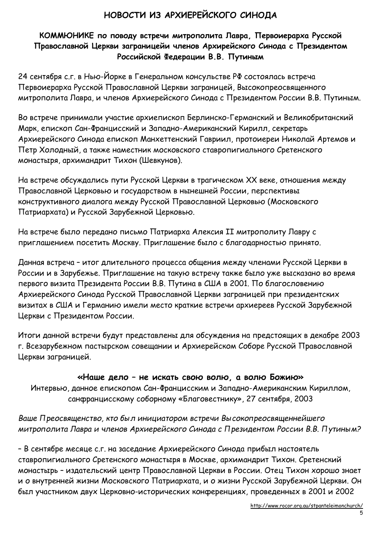# НОВОСТИ ИЗ АРХИЕРЕЙСКОГО СИНОДА

## КОММЮНИКЕ по поводу встречи митрополита Лавра, Первоиерарха Русской Православной Церкви заграницейи членов Архирейского Синода с Президентом Российской Федерации В.В. Путиным

24 сентября с.г. в Нью-Йорке в Генеральном консульстве РФ состоялась встреча Первоиерарха Русской Православной Церкви заграницей, Высокопреосвященного митрополита Лавра, и членов Архиерейского Синода с Президентом России В.В. Путиным.

Во встрече принимали участие архиепископ Берлинско-Германский и Великобританский Марк, епископ Сан-Францисский и Западно-Американский Кирилл, секретарь Архиерейского Синода епископ Манхеттенский Гавриил, протоиереи Николай Артемов и Петр Холодный, а также наместник московского ставропигиального Сретенского монастыря, архимандрит Тихон (Шевкунов).

На встрече обсуждались пути Русской Церкви в трагическом ХХ веке, отношения между Православной Церковью и государством в нынешней России, перспективы конструктивного диалога между Русской Православной Церковью (Московского Патриархата) и Русской Зарубежной Церковью.

На встрече было передано письмо Патриарха Алексия II митрополиту Лавру с приглашением посетить Москву. Приглашение было с благодарностью принято.

Данная встреча – итог длительного процесса общения между членами Русской Церкви в России и в Зарубежье. Приглашение на такую встречу также было уже высказано во время первого визита Президента России В.В. Путина в США в 2001. По благословению Архиерейского Синода Русской Православной Церкви заграницей при президентских визитах в США и Германию имели место краткие встречи архиереев Русской Зарубежной Церкви с Президентом России.

Итоги данной встречи будут представлены для обсуждения на предстоящих в декабре 2003 г. Всезарубежном пастырском совещании и Архиерейском Соборе Русской Православной Церкви заграницей.

#### «Наше дело – не искать свою волю, а волю Божию»

Интервью, данное епископом Сан-Францисским и Западно-Американским Кириллом, санфранцисскому соборному «Благовестнику», 27 сентября, 2003

Ваше Преосвященство, кто был инициатором встречи Высокопреосвященнейшего митрополита Лавра и членов Архиерейского Синода с Президентом России В.В. Путиным?

– В сентябре месяце с.г. на заседание Архиерейского Синода прибыл настоятель ставропигиального Сретенского монастыря в Москве, архимандрит Тихон. Сретенский монастырь – издательский центр Православной Церкви в России. Отец Тихон хорошо знает и о внутренней жизни Московского Патриархата, и о жизни Русской Зарубежной Церкви. Он был участником двух Церковно-исторических конференциях, проведенных в 2001 и 2002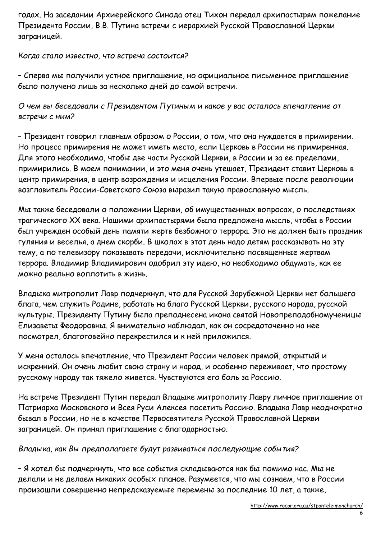годах. На заседании Архиерейского Синода отец Тихон передал архипастырям пожелание Президента России, В.В. Путина встречи с иерархией Русской Православной Церкви заграницей.

#### Когда стало известно, что встреча состоится?

– Сперва мы получили устное приглашение, но официальное письменное приглашение было получено лишь за несколько дней до самой встречи.

О чем вы беседовали с Президентом Путиным и какое у вас осталось впечатление от встречи с ним?

– Президент говорил главным образом о России, о том, что она нуждается в примирении. Но процесс примирения не может иметь место, если Церковь в России не примиренная. Для этого необходимо, чтобы две части Русской Церкви, в России и за ее пределами, примирились. В моем понимании, и это меня очень утешает, Президент ставит Церковь в центр примирения, в центр возрождения и исцеления России. Впервые после революции возглавитель России-Советского Союза выразил такую православную мысль.

Мы также беседовали о положении Церкви, об имущественных вопросах, о последствиях трагического ХХ века. Нашими архипастырями была предложена мысль, чтобы в России был учрежден особый день памяти жертв безбожного террора. Это не должен быть праздник гуляния и веселья, а днем скорби. В школах в этот день надо детям рассказывать на эту тему, а по телевизору показывать передачи, исключительно посвященные жертвам террора. Владимир Владимирович одобрил эту идею, но необходимо обдумать, как ее можно реально воплотить в жизнь.

Владыка митрополит Лавр подчеркнул, что для Русской Зарубежной Церкви нет большего блага, чем служить Родине, работать на благо Русской Церкви, русского народа, русской культуры. Президенту Путину была преподнесена икона святой Новопреподобномученицы Елизаветы Феодоровны. Я внимательно наблюдал, как он сосредоточенно на нее посмотрел, благоговейно перекрестился и к ней приложился.

У меня осталось впечатление, что Президент России человек прямой, открытый и искренний. Он очень любит свою страну и народ, и особенно переживает, что простому русскому народу так тяжело живется. Чувствуются его боль за Россию.

На встрече Президент Путин передал Владыке митрополиту Лавру личное приглашение от Патриарха Московского и Всея Руси Алексея посетить Россию. Владыка Лавр неоднократно бывал в России, но не в качестве Первосвятителя Русской Православной Церкви заграницей. Он принял приглашение с благодарностью.

Владыка, как Вы предполагаете будут развиваться последующие события?

– Я хотел бы подчеркнуть, что все события складываются как бы помимо нас. Мы не делали и не делаем никаких особых планов. Разумеется, что мы сознаем, что в России произошли совершенно непредсказуемые перемены за последние 10 лет, а также,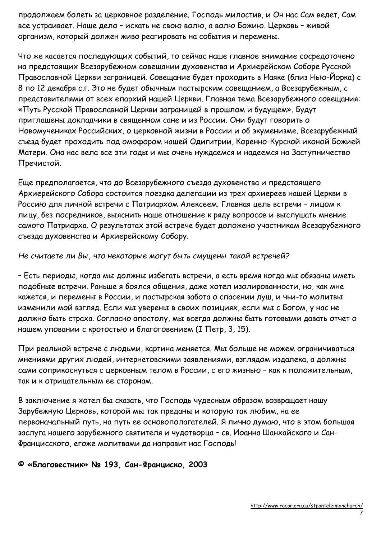продолжаем болеть за церковное разделение. Господь милостив, и Он нас Сам ведет, Сам все устраивает. Наше дело – искать не свою волю, а волю Божию. Церковь – живой организм, который должен живо реагировать на события и перемены.

Что же касается последующих событий, то сейчас наше главное внимание сосредоточено на предстоящих Всезарубежном совещании духовенства и Архиерейском Соборе Русской Православной Церкви заграницей. Совещание будет проходить в Наяке (близ Нью-Йорка) с 8 по 12 декабря с.г. Это не будет обычным пастырским совещанием, а Всезарубежным, с представителями от всех епархий нашей Церкви. Главная тема Всезарубежного совещания: «Путь Русской Православной Церкви заграницей в прошлом и будущем». Будут приглашены докладчики в священном сане и из России. Они будут говорить о Новомучениках Российских, о церковной жизни в России и об экуменизме. Всезарубежный съезд будет проходить под омофором нашей Одигитрии, Коренно-Курской иконой Божией Матери. Она нас вела все эти годы и мы очень нуждаемся и надеемся на Заступничество Пречистой.

Еще предполагается, что до Всезарубежного съезда духовенства и предстоящего Архиерейского Собора состоится поездка делегации из трех архиереев нашей Церкви в Россию для личной встречи с Патриархом Алексеем. Главная цель встречи – лицом к лицу, без посредников, выяснить наше отношение к ряду вопросов и выслушать мнение самого Патриарха. О результатах этой встрече будет доложено участникам Всезарубежного съезда духовенства и Архиерейскому Собору.

#### Не считаете ли Вы, что некоторые могут быть смущены такой встречей?

– Есть периоды, когда мы должны избегать встречи, а есть время когда мы обязаны иметь подобные встречи. Раньше я боялся общения, даже хотел изолированности, но, как мне кажется, и перемены в России, и пастырская забота о спасении душ, и чьи-то молитвы изменили мой взгляд. Если мы уверены в своих позициях, если мы с Богом, у нас не должно быть страха. Согласно апостолу, мы всегда должны быть готовыми давать отчет о нашем уповании с кротостью и благоговением (I Петр, 3, 15).

При реальной встрече с людьми, картина меняется. Мы больше не можем ограничиваться мнениями других людей, интернетовскими заявлениями, взглядом издалека, а должны сами соприкоснуться с церковным телом в России, с его жизнью – как к положительным, так и к отрицательным ее сторонам.

В заключение я хотел бы сказать, что Господь чудесным образом возвращает нашу Зарубежную Церковь, которой мы так преданы и которую так любим, на ее первоначальный путь, на путь ее основополагателей. Я лично думаю, что в этом большая заслуга нашего зарубежного святителя и чудотворца – св. Иоанна Шанхайского и Сан-Францисского, егоже молитвами да направит нас Господь!

#### © «Благовестник» № 193, Сан-Франциско, 2003